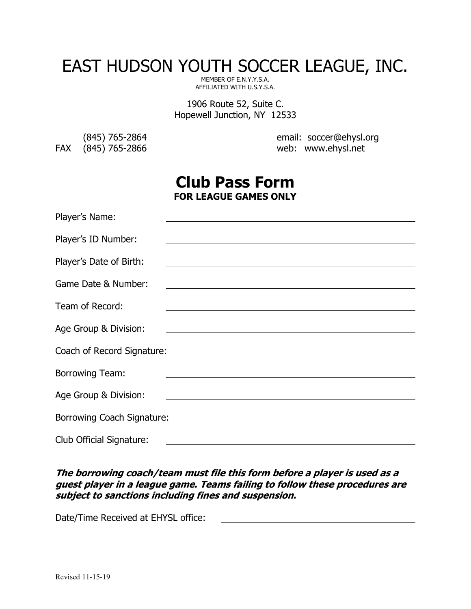# EAST HUDSON YOUTH SOCCER LEAGUE, INC.

MEMBER OF E.N.Y.Y.S.A. AFFILIATED WITH U.S.Y.S.A.

1906 Route 52, Suite C. Hopewell Junction, NY 12533

FAX (845) 765-2866

(845) 765-2864 email: soccer@ehysl.org

# **Club Pass Form FOR LEAGUE GAMES ONLY**

| Player's Name:                  |                                                                                                                        |
|---------------------------------|------------------------------------------------------------------------------------------------------------------------|
| Player's ID Number:             | <u> 1989 - Johann Stoff, deutscher Stoffen und der Stoffen und der Stoffen und der Stoffen und der Stoffen und der</u> |
| Player's Date of Birth:         | <u> 1980 - Andrea Station Barbara, amerikan personal (h. 1980).</u>                                                    |
| Game Date & Number:             | <u> 1989 - Johann Stein, marwolaethau a bhann an t-Amhain an t-Amhain an t-Amhain an t-Amhain an t-Amhain an t-A</u>   |
| Team of Record:                 | <u> 1989 - Andrea Barbara, amerikana amerikana amerikana amerikana amerikana amerikana amerikana amerikana amerika</u> |
| Age Group & Division:           | <u> 1989 - Johann Barn, amerikan besteman besteman besteman besteman besteman besteman besteman besteman bestema</u>   |
|                                 | Coach of Record Signature: Coach of Record Signature:                                                                  |
| <b>Borrowing Team:</b>          |                                                                                                                        |
| Age Group & Division:           | <u> Alexandria de la contrada de la contrada de la contrada de la contrada de la contrada de la contrada de la c</u>   |
|                                 | Borrowing Coach Signature: Manual Contract of School Signature: Manual Coach Signature:                                |
| <b>Club Official Signature:</b> | <u> 1989 - Johann John Stone, markin fan it ferstjer fan de oarste fan it ferstjer fan de oarste fan it ferstjer</u>   |

## **The borrowing coach/team must file this form before a player is used as a guest player in a league game. Teams failing to follow these procedures are subject to sanctions including fines and suspension.**

Date/Time Received at EHYSL office: